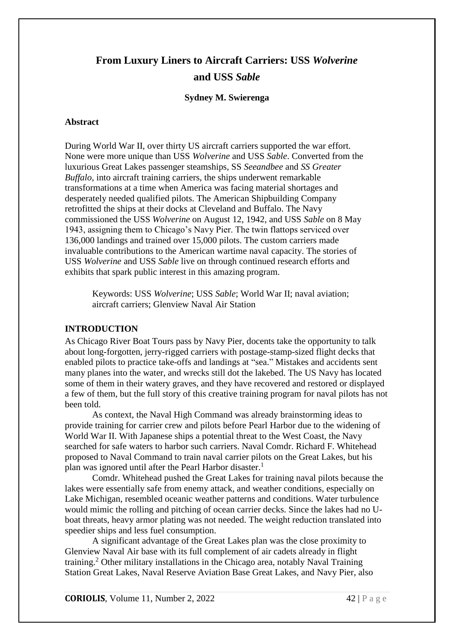# **From Luxury Liners to Aircraft Carriers: USS** *Wolverine* **and USS** *Sable*

#### **Sydney M. Swierenga**

#### **Abstract**

During World War II, over thirty US aircraft carriers supported the war effort. None were more unique than USS *Wolverine* and USS *Sable*. Converted from the luxurious Great Lakes passenger steamships, SS *Seeandbee* and *SS Greater Buffalo*, into aircraft training carriers, the ships underwent remarkable transformations at a time when America was facing material shortages and desperately needed qualified pilots. The American Shipbuilding Company retrofitted the ships at their docks at Cleveland and Buffalo. The Navy commissioned the USS *Wolverine* on August 12, 1942, and USS *Sable* on 8 May 1943, assigning them to Chicago's Navy Pier. The twin flattops serviced over 136,000 landings and trained over 15,000 pilots. The custom carriers made invaluable contributions to the American wartime naval capacity. The stories of USS *Wolverine* and USS *Sable* live on through continued research efforts and exhibits that spark public interest in this amazing program.

Keywords: USS *Wolverine*; USS *Sable*; World War II; naval aviation; aircraft carriers; Glenview Naval Air Station

### **INTRODUCTION**

As Chicago River Boat Tours pass by Navy Pier, docents take the opportunity to talk about long-forgotten, jerry-rigged carriers with postage-stamp-sized flight decks that enabled pilots to practice take-offs and landings at "sea." Mistakes and accidents sent many planes into the water, and wrecks still dot the lakebed. The US Navy has located some of them in their watery graves, and they have recovered and restored or displayed a few of them, but the full story of this creative training program for naval pilots has not been told.

As context, the Naval High Command was already brainstorming ideas to provide training for carrier crew and pilots before Pearl Harbor due to the widening of World War II. With Japanese ships a potential threat to the West Coast, the Navy searched for safe waters to harbor such carriers. Naval Comdr. Richard F. Whitehead proposed to Naval Command to train naval carrier pilots on the Great Lakes, but his plan was ignored until after the Pearl Harbor disaster.<sup>1</sup>

Comdr. Whitehead pushed the Great Lakes for training naval pilots because the lakes were essentially safe from enemy attack, and weather conditions, especially on Lake Michigan, resembled oceanic weather patterns and conditions. Water turbulence would mimic the rolling and pitching of ocean carrier decks. Since the lakes had no Uboat threats, heavy armor plating was not needed. The weight reduction translated into speedier ships and less fuel consumption.

A significant advantage of the Great Lakes plan was the close proximity to Glenview Naval Air base with its full complement of air cadets already in flight training. <sup>2</sup> Other military installations in the Chicago area, notably Naval Training Station Great Lakes, Naval Reserve Aviation Base Great Lakes, and Navy Pier, also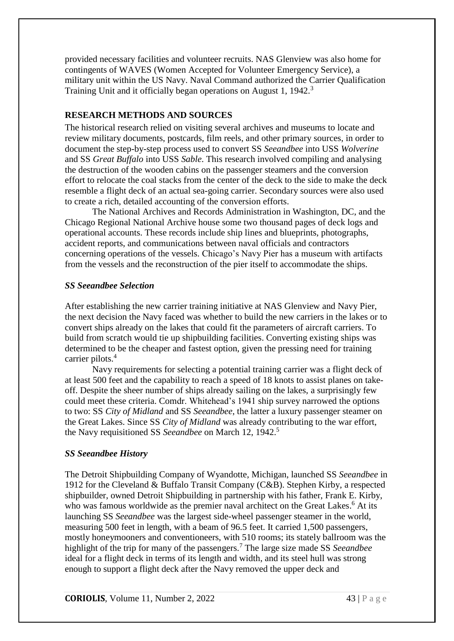provided necessary facilities and volunteer recruits. NAS Glenview was also home for contingents of WAVES (Women Accepted for Volunteer Emergency Service), a military unit within the US Navy. Naval Command authorized the Carrier Qualification Training Unit and it officially began operations on August 1, 1942.<sup>3</sup>

# **RESEARCH METHODS AND SOURCES**

The historical research relied on visiting several archives and museums to locate and review military documents, postcards, film reels, and other primary sources, in order to document the step-by-step process used to convert SS *Seeandbee* into USS *Wolverine* and SS *Great Buffalo* into USS *Sable*. This research involved compiling and analysing the destruction of the wooden cabins on the passenger steamers and the conversion effort to relocate the coal stacks from the center of the deck to the side to make the deck resemble a flight deck of an actual sea-going carrier. Secondary sources were also used to create a rich, detailed accounting of the conversion efforts.

The National Archives and Records Administration in Washington, DC, and the Chicago Regional National Archive house some two thousand pages of deck logs and operational accounts. These records include ship lines and blueprints, photographs, accident reports, and communications between naval officials and contractors concerning operations of the vessels. Chicago's Navy Pier has a museum with artifacts from the vessels and the reconstruction of the pier itself to accommodate the ships.

# *SS Seeandbee Selection*

After establishing the new carrier training initiative at NAS Glenview and Navy Pier, the next decision the Navy faced was whether to build the new carriers in the lakes or to convert ships already on the lakes that could fit the parameters of aircraft carriers. To build from scratch would tie up shipbuilding facilities. Converting existing ships was determined to be the cheaper and fastest option, given the pressing need for training carrier pilots. 4

Navy requirements for selecting a potential training carrier was a flight deck of at least 500 feet and the capability to reach a speed of 18 knots to assist planes on takeoff. Despite the sheer number of ships already sailing on the lakes, a surprisingly few could meet these criteria. Comdr. Whitehead's 1941 ship survey narrowed the options to two: SS *City of Midland* and SS *Seeandbee*, the latter a luxury passenger steamer on the Great Lakes. Since SS *City of Midland* was already contributing to the war effort, the Navy requisitioned SS *Seeandbee* on March 12, 1942. 5

# *SS Seeandbee History*

The Detroit Shipbuilding Company of Wyandotte, Michigan, launched SS *Seeandbee* in 1912 for the Cleveland & Buffalo Transit Company (C&B). Stephen Kirby, a respected shipbuilder, owned Detroit Shipbuilding in partnership with his father, Frank E. Kirby, who was famous worldwide as the premier naval architect on the Great Lakes.<sup>6</sup> At its launching SS *Seeandbee* was the largest side-wheel passenger steamer in the world, measuring 500 feet in length, with a beam of 96.5 feet. It carried 1,500 passengers, mostly honeymooners and conventioneers, with 510 rooms; its stately ballroom was the highlight of the trip for many of the passengers. <sup>7</sup> The large size made SS *Seeandbee*  ideal for a flight deck in terms of its length and width, and its steel hull was strong enough to support a flight deck after the Navy removed the upper deck and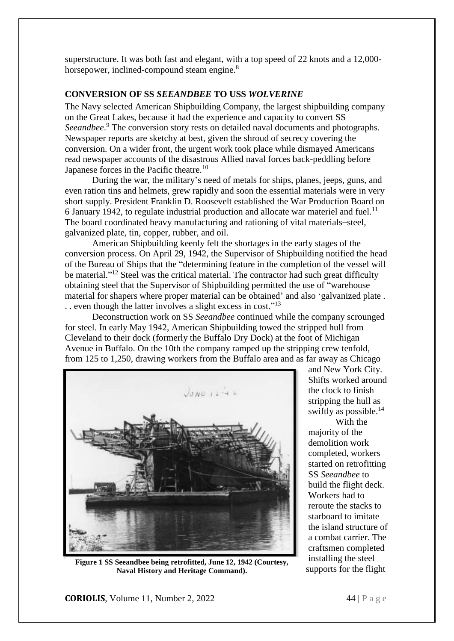superstructure. It was both fast and elegant, with a top speed of 22 knots and a 12,000 horsepower, inclined-compound steam engine.<sup>8</sup>

### **CONVERSION OF SS** *SEEANDBEE* **TO USS** *WOLVERINE*

The Navy selected American Shipbuilding Company, the largest shipbuilding company on the Great Lakes, because it had the experience and capacity to convert SS *Seeandbee*. <sup>9</sup> The conversion story rests on detailed naval documents and photographs. Newspaper reports are sketchy at best, given the shroud of secrecy covering the conversion. On a wider front, the urgent work took place while dismayed Americans read newspaper accounts of the disastrous Allied naval forces back-peddling before Japanese forces in the Pacific theatre.<sup>10</sup>

During the war, the military's need of metals for ships, planes, jeeps, guns, and even ration tins and helmets, grew rapidly and soon the essential materials were in very short supply. President Franklin D. Roosevelt established the War Production Board on 6 January 1942, to regulate industrial production and allocate war materiel and fuel.<sup>11</sup> The board coordinated heavy manufacturing and rationing of vital materials-steel, galvanized plate, tin, copper, rubber, and oil.

American Shipbuilding keenly felt the shortages in the early stages of the conversion process. On April 29, 1942, the Supervisor of Shipbuilding notified the head of the Bureau of Ships that the "determining feature in the completion of the vessel will be material."<sup>12</sup> Steel was the critical material. The contractor had such great difficulty obtaining steel that the Supervisor of Shipbuilding permitted the use of "warehouse material for shapers where proper material can be obtained' and also 'galvanized plate . .. even though the latter involves a slight excess in cost."<sup>13</sup>

Deconstruction work on SS *Seeandbee* continued while the company scrounged for steel. In early May 1942, American Shipbuilding towed the stripped hull from Cleveland to their dock (formerly the Buffalo Dry Dock) at the foot of Michigan Avenue in Buffalo. On the 10th the company ramped up the stripping crew tenfold, from 125 to 1,250, drawing workers from the Buffalo area and as far away as Chicago



**Figure 1 SS Seeandbee being retrofitted, June 12, 1942 (Courtesy, Naval History and Heritage Command).**

and New York City. Shifts worked around the clock to finish stripping the hull as swiftly as possible. 14 With the

majority of the demolition work completed, workers started on retrofitting SS *Seeandbee* to build the flight deck. Workers had to reroute the stacks to starboard to imitate the island structure of a combat carrier. The craftsmen completed installing the steel supports for the flight

**CORIOLIS**, Volume 11, Number 2, 2022  $\overline{44} \mid P \text{ a g e}$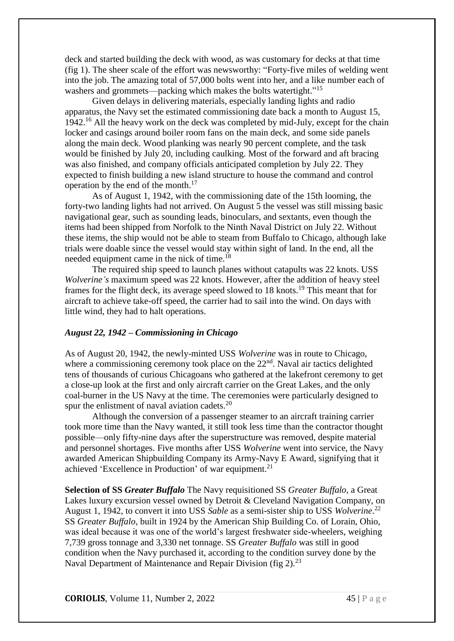deck and started building the deck with wood, as was customary for decks at that time (fig 1). The sheer scale of the effort was newsworthy: "Forty-five miles of welding went into the job. The amazing total of 57,000 bolts went into her, and a like number each of washers and grommets—packing which makes the bolts watertight."<sup>15</sup>

Given delays in delivering materials, especially landing lights and radio apparatus, the Navy set the estimated commissioning date back a month to August 15, 1942.<sup>16</sup> All the heavy work on the deck was completed by mid-July, except for the chain locker and casings around boiler room fans on the main deck, and some side panels along the main deck. Wood planking was nearly 90 percent complete, and the task would be finished by July 20, including caulking. Most of the forward and aft bracing was also finished, and company officials anticipated completion by July 22. They expected to finish building a new island structure to house the command and control operation by the end of the month. 17

As of August 1, 1942, with the commissioning date of the 15th looming, the forty-two landing lights had not arrived. On August 5 the vessel was still missing basic navigational gear, such as sounding leads, binoculars, and sextants, even though the items had been shipped from Norfolk to the Ninth Naval District on July 22. Without these items, the ship would not be able to steam from Buffalo to Chicago, although lake trials were doable since the vessel would stay within sight of land. In the end, all the needed equipment came in the nick of time.<sup>18</sup>

The required ship speed to launch planes without catapults was 22 knots. USS *Wolverine's* maximum speed was 22 knots. However, after the addition of heavy steel frames for the flight deck, its average speed slowed to 18 knots. <sup>19</sup> This meant that for aircraft to achieve take-off speed, the carrier had to sail into the wind. On days with little wind, they had to halt operations.

#### *August 22, 1942 – Commissioning in Chicago*

As of August 20, 1942, the newly-minted USS *Wolverine* was in route to Chicago, where a commissioning ceremony took place on the  $22<sup>nd</sup>$ . Naval air tactics delighted tens of thousands of curious Chicagoans who gathered at the lakefront ceremony to get a close-up look at the first and only aircraft carrier on the Great Lakes, and the only coal-burner in the US Navy at the time. The ceremonies were particularly designed to spur the enlistment of naval aviation cadets. $20$ 

Although the conversion of a passenger steamer to an aircraft training carrier took more time than the Navy wanted, it still took less time than the contractor thought possible—only fifty-nine days after the superstructure was removed, despite material and personnel shortages. Five months after USS *Wolverine* went into service, the Navy awarded American Shipbuilding Company its Army-Navy E Award, signifying that it achieved 'Excellence in Production' of war equipment.<sup>21</sup>

**Selection of SS** *Greater Buffalo* The Navy requisitioned SS *Greater Buffalo,* a Great Lakes luxury excursion vessel owned by Detroit & Cleveland Navigation Company, on August 1, 1942, to convert it into USS *Sable* as a semi-sister ship to USS *Wolverine*. 22 SS *Greater Buffalo*, built in 1924 by the American Ship Building Co. of Lorain, Ohio, was ideal because it was one of the world's largest freshwater side-wheelers, weighing 7,739 gross tonnage and 3,330 net tonnage. SS *Greater Buffalo* was still in good condition when the Navy purchased it, according to the condition survey done by the Naval Department of Maintenance and Repair Division (fig 2).<sup>23</sup>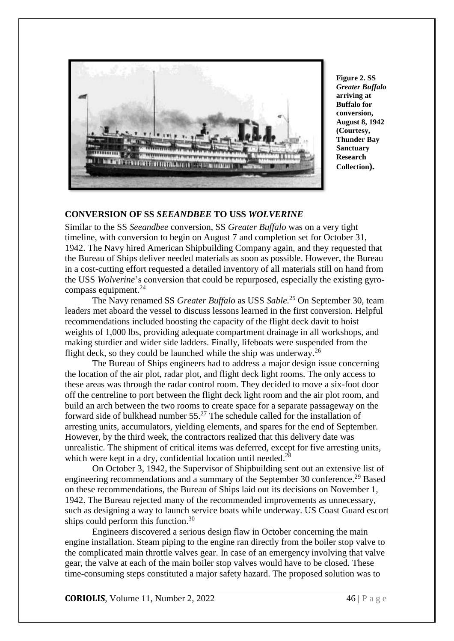

**Figure 2. SS**  *Greater Buffalo* **arriving at Buffalo for conversion, August 8, 1942 (Courtesy, Thunder Bay Sanctuary Research Collection).**

## **CONVERSION OF SS** *SEEANDBEE* **TO USS** *WOLVERINE*

Similar to the SS *Seeandbee* conversion, SS *Greater Buffalo* was on a very tight timeline, with conversion to begin on August 7 and completion set for October 31, 1942. The Navy hired American Shipbuilding Company again, and they requested that the Bureau of Ships deliver needed materials as soon as possible. However, the Bureau in a cost-cutting effort requested a detailed inventory of all materials still on hand from the USS *Wolverine*'s conversion that could be repurposed, especially the existing gyrocompass equipment. 24

The Navy renamed SS *Greater Buffalo* as USS *Sable*. <sup>25</sup> On September 30, team leaders met aboard the vessel to discuss lessons learned in the first conversion. Helpful recommendations included boosting the capacity of the flight deck davit to hoist weights of 1,000 lbs, providing adequate compartment drainage in all workshops, and making sturdier and wider side ladders. Finally, lifeboats were suspended from the flight deck, so they could be launched while the ship was underway.<sup>26</sup>

The Bureau of Ships engineers had to address a major design issue concerning the location of the air plot, radar plot, and flight deck light rooms. The only access to these areas was through the radar control room. They decided to move a six-foot door off the centreline to port between the flight deck light room and the air plot room, and build an arch between the two rooms to create space for a separate passageway on the forward side of bulkhead number 55. <sup>27</sup> The schedule called for the installation of arresting units, accumulators, yielding elements, and spares for the end of September. However, by the third week, the contractors realized that this delivery date was unrealistic. The shipment of critical items was deferred, except for five arresting units, which were kept in a dry, confidential location until needed.<sup>28</sup>

On October 3, 1942, the Supervisor of Shipbuilding sent out an extensive list of engineering recommendations and a summary of the September 30 conference.<sup>29</sup> Based on these recommendations, the Bureau of Ships laid out its decisions on November 1, 1942. The Bureau rejected many of the recommended improvements as unnecessary, such as designing a way to launch service boats while underway. US Coast Guard escort ships could perform this function.<sup>30</sup>

Engineers discovered a serious design flaw in October concerning the main engine installation. Steam piping to the engine ran directly from the boiler stop valve to the complicated main throttle valves gear. In case of an emergency involving that valve gear, the valve at each of the main boiler stop valves would have to be closed. These time-consuming steps constituted a major safety hazard. The proposed solution was to

**CORIOLIS**, Volume 11, Number 2, 2022  $\overline{46} \mid P \text{ a ge}$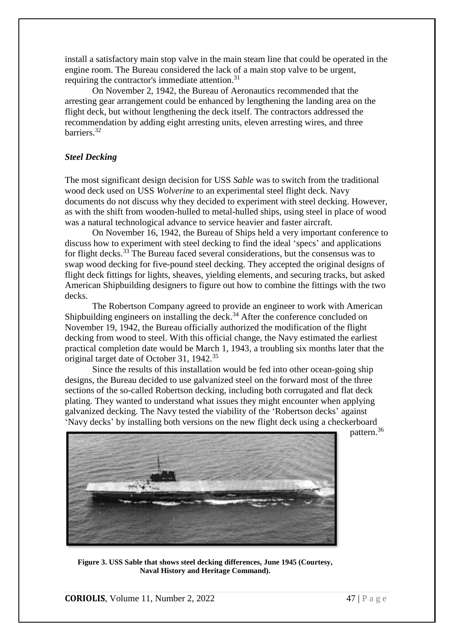install a satisfactory main stop valve in the main steam line that could be operated in the engine room. The Bureau considered the lack of a main stop valve to be urgent, requiring the contractor's immediate attention.<sup>31</sup>

On November 2, 1942, the Bureau of Aeronautics recommended that the arresting gear arrangement could be enhanced by lengthening the landing area on the flight deck, but without lengthening the deck itself. The contractors addressed the recommendation by adding eight arresting units, eleven arresting wires, and three barriers. 32

## *Steel Decking*

The most significant design decision for USS *Sable* was to switch from the traditional wood deck used on USS *Wolverine* to an experimental steel flight deck. Navy documents do not discuss why they decided to experiment with steel decking. However, as with the shift from wooden-hulled to metal-hulled ships, using steel in place of wood was a natural technological advance to service heavier and faster aircraft.

On November 16, 1942, the Bureau of Ships held a very important conference to discuss how to experiment with steel decking to find the ideal 'specs' and applications for flight decks.<sup>33</sup> The Bureau faced several considerations, but the consensus was to swap wood decking for five-pound steel decking. They accepted the original designs of flight deck fittings for lights, sheaves, yielding elements, and securing tracks, but asked American Shipbuilding designers to figure out how to combine the fittings with the two decks.

The Robertson Company agreed to provide an engineer to work with American Shipbuilding engineers on installing the deck.<sup>34</sup> After the conference concluded on November 19, 1942, the Bureau officially authorized the modification of the flight decking from wood to steel. With this official change, the Navy estimated the earliest practical completion date would be March 1, 1943, a troubling six months later that the original target date of October 31, 1942.<sup>35</sup>

Since the results of this installation would be fed into other ocean-going ship designs, the Bureau decided to use galvanized steel on the forward most of the three sections of the so-called Robertson decking, including both corrugated and flat deck plating. They wanted to understand what issues they might encounter when applying galvanized decking. The Navy tested the viability of the 'Robertson decks' against 'Navy decks' by installing both versions on the new flight deck using a checkerboard

pattern. 36



**Figure 3. USS Sable that shows steel decking differences, June 1945 (Courtesy, Naval History and Heritage Command).**

**CORIOLIS**, Volume 11, Number 2, 2022  $\overline{47} \mid P \text{ a g e}$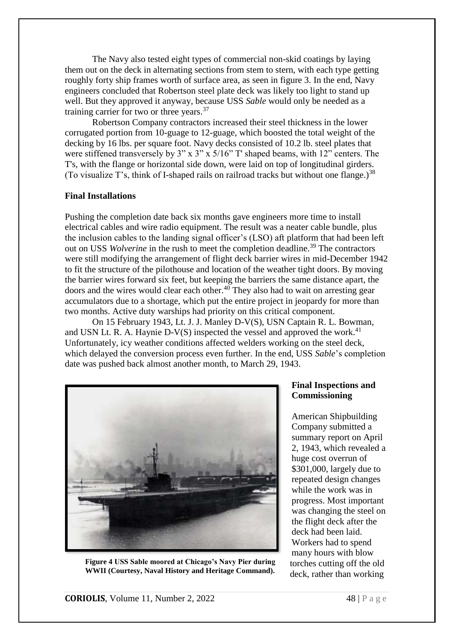The Navy also tested eight types of commercial non-skid coatings by laying them out on the deck in alternating sections from stem to stern, with each type getting roughly forty ship frames worth of surface area, as seen in figure 3. In the end, Navy engineers concluded that Robertson steel plate deck was likely too light to stand up well. But they approved it anyway, because USS *Sable* would only be needed as a training carrier for two or three years.<sup>37</sup>

Robertson Company contractors increased their steel thickness in the lower corrugated portion from 10-guage to 12-guage, which boosted the total weight of the decking by 16 lbs. per square foot. Navy decks consisted of 10.2 lb. steel plates that were stiffened transversely by 3" x 3" x 5/16" T' shaped beams, with 12" centers. The T's, with the flange or horizontal side down, were laid on top of longitudinal girders. (To visualize T's, think of I-shaped rails on railroad tracks but without one flange.)<sup>38</sup>

#### **Final Installations**

Pushing the completion date back six months gave engineers more time to install electrical cables and wire radio equipment. The result was a neater cable bundle, plus the inclusion cables to the landing signal officer's (LSO) aft platform that had been left out on USS *Wolverine* in the rush to meet the completion deadline. <sup>39</sup> The contractors were still modifying the arrangement of flight deck barrier wires in mid-December 1942 to fit the structure of the pilothouse and location of the weather tight doors. By moving the barrier wires forward six feet, but keeping the barriers the same distance apart, the doors and the wires would clear each other. <sup>40</sup> They also had to wait on arresting gear accumulators due to a shortage, which put the entire project in jeopardy for more than two months. Active duty warships had priority on this critical component.

On 15 February 1943, Lt. J. J. Manley D-V(S), USN Captain R. L. Bowman, and USN Lt. R. A. Haynie D-V(S) inspected the vessel and approved the work.<sup>41</sup> Unfortunately, icy weather conditions affected welders working on the steel deck, which delayed the conversion process even further. In the end, USS *Sable*'s completion date was pushed back almost another month, to March 29, 1943.



**Figure 4 USS Sable moored at Chicago's Navy Pier during WWII (Courtesy, Naval History and Heritage Command).**

## **Final Inspections and Commissioning**

American Shipbuilding Company submitted a summary report on April 2, 1943, which revealed a huge cost overrun of \$301,000, largely due to repeated design changes while the work was in progress. Most important was changing the steel on the flight deck after the deck had been laid. Workers had to spend many hours with blow torches cutting off the old deck, rather than working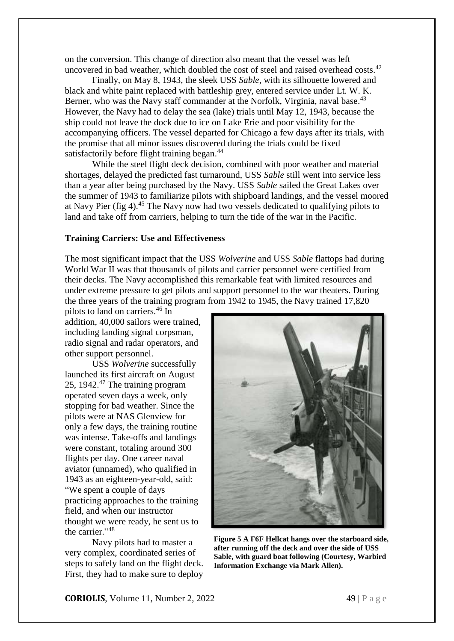on the conversion. This change of direction also meant that the vessel was left uncovered in bad weather, which doubled the cost of steel and raised overhead costs.<sup>42</sup>

Finally, on May 8, 1943, the sleek USS *Sable*, with its silhouette lowered and black and white paint replaced with battleship grey, entered service under Lt. W. K. Berner, who was the Navy staff commander at the Norfolk, Virginia, naval base.<sup>43</sup> However, the Navy had to delay the sea (lake) trials until May 12, 1943, because the ship could not leave the dock due to ice on Lake Erie and poor visibility for the accompanying officers. The vessel departed for Chicago a few days after its trials, with the promise that all minor issues discovered during the trials could be fixed satisfactorily before flight training began.<sup>44</sup>

While the steel flight deck decision, combined with poor weather and material shortages, delayed the predicted fast turnaround, USS *Sable* still went into service less than a year after being purchased by the Navy. USS *Sable* sailed the Great Lakes over the summer of 1943 to familiarize pilots with shipboard landings, and the vessel moored at Navy Pier (fig 4).<sup>45</sup> The Navy now had two vessels dedicated to qualifying pilots to land and take off from carriers, helping to turn the tide of the war in the Pacific.

### **Training Carriers: Use and Effectiveness**

The most significant impact that the USS *Wolverine* and USS *Sable* flattops had during World War II was that thousands of pilots and carrier personnel were certified from their decks. The Navy accomplished this remarkable feat with limited resources and under extreme pressure to get pilots and support personnel to the war theaters. During the three years of the training program from 1942 to 1945, the Navy trained 17,820

pilots to land on carriers. <sup>46</sup> In addition, 40,000 sailors were trained, including landing signal corpsman, radio signal and radar operators, and other support personnel.

USS *Wolverine* successfully launched its first aircraft on August 25, 1942. <sup>47</sup> The training program operated seven days a week, only stopping for bad weather. Since the pilots were at NAS Glenview for only a few days, the training routine was intense. Take-offs and landings were constant, totaling around 300 flights per day. One career naval aviator (unnamed), who qualified in 1943 as an eighteen-year-old, said: "We spent a couple of days practicing approaches to the training field, and when our instructor thought we were ready, he sent us to the carrier."<sup>48</sup>

Navy pilots had to master a very complex, coordinated series of steps to safely land on the flight deck. First, they had to make sure to deploy



**Figure 5 A F6F Hellcat hangs over the starboard side, after running off the deck and over the side of USS Sable, with guard boat following (Courtesy, Warbird Information Exchange via Mark Allen).**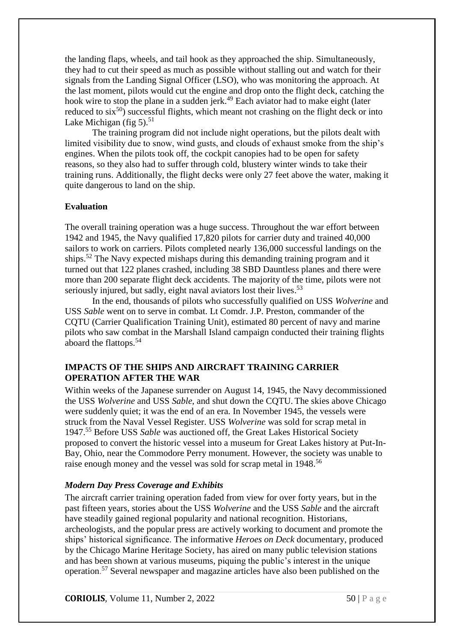the landing flaps, wheels, and tail hook as they approached the ship. Simultaneously, they had to cut their speed as much as possible without stalling out and watch for their signals from the Landing Signal Officer (LSO), who was monitoring the approach. At the last moment, pilots would cut the engine and drop onto the flight deck, catching the hook wire to stop the plane in a sudden jerk. <sup>49</sup> Each aviator had to make eight (later reduced to  $six^{50}$ ) successful flights, which meant not crashing on the flight deck or into Lake Michigan (fig 5).<sup>51</sup>

The training program did not include night operations, but the pilots dealt with limited visibility due to snow, wind gusts, and clouds of exhaust smoke from the ship's engines. When the pilots took off, the cockpit canopies had to be open for safety reasons, so they also had to suffer through cold, blustery winter winds to take their training runs. Additionally, the flight decks were only 27 feet above the water, making it quite dangerous to land on the ship.

## **Evaluation**

The overall training operation was a huge success. Throughout the war effort between 1942 and 1945, the Navy qualified 17,820 pilots for carrier duty and trained 40,000 sailors to work on carriers. Pilots completed nearly 136,000 successful landings on the ships. <sup>52</sup> The Navy expected mishaps during this demanding training program and it turned out that 122 planes crashed, including 38 SBD Dauntless planes and there were more than 200 separate flight deck accidents. The majority of the time, pilots were not seriously injured, but sadly, eight naval aviators lost their lives.<sup>53</sup>

In the end, thousands of pilots who successfully qualified on USS *Wolverine* and USS *Sable* went on to serve in combat. Lt Comdr. J.P. Preston, commander of the CQTU (Carrier Qualification Training Unit), estimated 80 percent of navy and marine pilots who saw combat in the Marshall Island campaign conducted their training flights aboard the flattops. 54

## **IMPACTS OF THE SHIPS AND AIRCRAFT TRAINING CARRIER OPERATION AFTER THE WAR**

Within weeks of the Japanese surrender on August 14, 1945, the Navy decommissioned the USS *Wolverine* and USS *Sable*, and shut down the CQTU. The skies above Chicago were suddenly quiet; it was the end of an era. In November 1945, the vessels were struck from the Naval Vessel Register. USS *Wolverine* was sold for scrap metal in 1947. <sup>55</sup> Before USS *Sable* was auctioned off, the Great Lakes Historical Society proposed to convert the historic vessel into a museum for Great Lakes history at Put-In-Bay, Ohio, near the Commodore Perry monument. However, the society was unable to raise enough money and the vessel was sold for scrap metal in 1948.<sup>56</sup>

# *Modern Day Press Coverage and Exhibits*

The aircraft carrier training operation faded from view for over forty years, but in the past fifteen years, stories about the USS *Wolverine* and the USS *Sable* and the aircraft have steadily gained regional popularity and national recognition. Historians, archeologists, and the popular press are actively working to document and promote the ships' historical significance. The informative *Heroes on Deck* documentary, produced by the Chicago Marine Heritage Society, has aired on many public television stations and has been shown at various museums, piquing the public's interest in the unique operation. <sup>57</sup> Several newspaper and magazine articles have also been published on the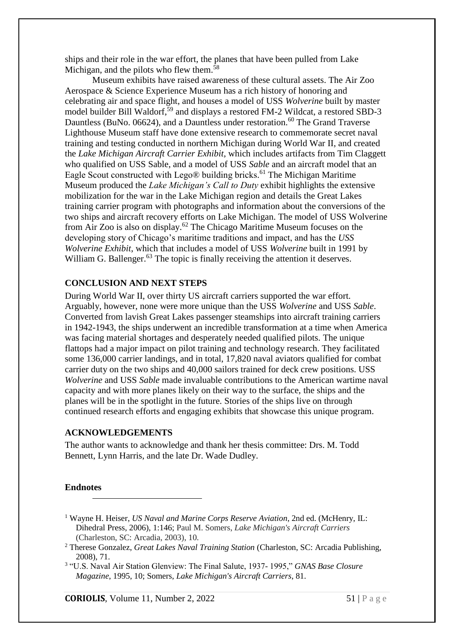ships and their role in the war effort, the planes that have been pulled from Lake Michigan, and the pilots who flew them.<sup>58</sup>

Museum exhibits have raised awareness of these cultural assets. The Air Zoo Aerospace & Science Experience Museum has a rich history of honoring and celebrating air and space flight, and houses a model of USS *Wolverine* built by master model builder Bill Waldorf, <sup>59</sup> and displays a restored FM-2 Wildcat, a restored SBD-3 Dauntless (BuNo. 06624), and a Dauntless under restoration.<sup>60</sup> The Grand Traverse Lighthouse Museum staff have done extensive research to commemorate secret naval training and testing conducted in northern Michigan during World War II, and created the *Lake Michigan Aircraft Carrier Exhibit*, which includes artifacts from Tim Claggett who qualified on USS Sable, and a model of USS *Sable* and an aircraft model that an Eagle Scout constructed with Lego® building bricks. <sup>61</sup> The Michigan Maritime Museum produced the *Lake Michigan's Call to Duty* exhibit highlights the extensive mobilization for the war in the Lake Michigan region and details the Great Lakes training carrier program with photographs and information about the conversions of the two ships and aircraft recovery efforts on Lake Michigan. The model of USS Wolverine from Air Zoo is also on display.<sup>62</sup> The Chicago Maritime Museum focuses on the developing story of Chicago's maritime traditions and impact, and has the *USS Wolverine Exhibit*, which that includes a model of USS *Wolverine* built in 1991 by William G. Ballenger.<sup>63</sup> The topic is finally receiving the attention it deserves.

## **CONCLUSION AND NEXT STEPS**

During World War II, over thirty US aircraft carriers supported the war effort. Arguably, however, none were more unique than the USS *Wolverine* and USS *Sable*. Converted from lavish Great Lakes passenger steamships into aircraft training carriers in 1942-1943, the ships underwent an incredible transformation at a time when America was facing material shortages and desperately needed qualified pilots. The unique flattops had a major impact on pilot training and technology research. They facilitated some 136,000 carrier landings, and in total, 17,820 naval aviators qualified for combat carrier duty on the two ships and 40,000 sailors trained for deck crew positions. USS *Wolverine* and USS *Sable* made invaluable contributions to the American wartime naval capacity and with more planes likely on their way to the surface, the ships and the planes will be in the spotlight in the future. Stories of the ships live on through continued research efforts and engaging exhibits that showcase this unique program.

#### **ACKNOWLEDGEMENTS**

The author wants to acknowledge and thank her thesis committee: Drs. M. Todd Bennett, Lynn Harris, and the late Dr. Wade Dudley.

#### **Endnotes**

 $\overline{a}$ 

- <sup>1</sup> Wayne H. Heiser, *US Naval and Marine Corps Reserve Aviation*, 2nd ed. (McHenry, IL: Dihedral Press, 2006), 1:146; Paul M. Somers, *Lake Michigan's Aircraft Carriers* (Charleston, SC: Arcadia, 2003), 10.
- <sup>2</sup> Therese Gonzalez, *Great Lakes Naval Training Station* (Charleston, SC: Arcadia Publishing, 2008), 71.

3 "U.S. Naval Air Station Glenview: The Final Salute, 1937- 1995," *GNAS Base Closure Magazine*, 1995, 10; Somers, *Lake Michigan's Aircraft Carriers*, 81.

**CORIOLIS**, Volume 11, Number 2, 2022 51 | P a g e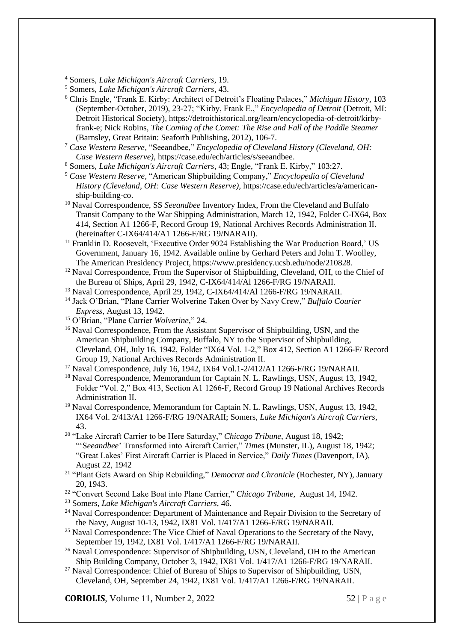<sup>4</sup> Somers, *Lake Michigan's Aircraft Carriers*, 19.

-

- <sup>5</sup> Somers, *Lake Michigan's Aircraft Carriers*, 43.
- <sup>6</sup> Chris Engle, "Frank E. Kirby: Architect of Detroit's Floating Palaces," *Michigan History*, 103 (September-October, 2019), 23-27; "Kirby, Frank E.," *Encyclopedia of Detroit* (Detroit, MI: Detroit Historical Society), https://detroithistorical.org/learn/encyclopedia-of-detroit/kirbyfrank-e; Nick Robins, *The Coming of the Comet: The Rise and Fall of the Paddle Steamer* (Barnsley, Great Britain: Seaforth Publishing, 2012), 106-7.
- <sup>7</sup> *Case Western Reserve,* "Seeandbee," *Encyclopedia of Cleveland History (Cleveland, OH: Case Western Reserve),* https://case.edu/ech/articles/s/seeandbee.
- <sup>8</sup> Somers, *Lake Michigan's Aircraft Carriers*, 43; Engle, "Frank E. Kirby," 103:27.
- <sup>9</sup> *Case Western Reserve,* "American Shipbuilding Company," *Encyclopedia of Cleveland History (Cleveland, OH: Case Western Reserve),* https://case.edu/ech/articles/a/americanship-building-co.
- <sup>10</sup> Naval Correspondence, SS *Seeandbee* Inventory Index, From the Cleveland and Buffalo Transit Company to the War Shipping Administration, March 12, 1942, Folder C-IX64, Box 414, Section A1 1266-F, Record Group 19, National Archives Records Administration II. (hereinafter C-IX64/414/A1 1266-F/RG 19/NARAII).
- <sup>11</sup> Franklin D. Roosevelt, 'Executive Order 9024 Establishing the War Production Board,' US Government, January 16, 1942. Available online by Gerhard Peters and John T. Woolley, The American Presidency Project, https://www.presidency.ucsb.edu/node/210828.
- $12$  Naval Correspondence, From the Supervisor of Shipbuilding, Cleveland, OH, to the Chief of the Bureau of Ships, April 29, 1942, C-IX64/414/Al 1266-F/RG 19/NARAII.
- <sup>13</sup> Naval Correspondence, April 29, 1942, C-IX64/414/Al 1266-F/RG 19/NARAII.
- <sup>14</sup> Jack O'Brian, "Plane Carrier Wolverine Taken Over by Navy Crew," *Buffalo Courier Express*, August 13, 1942.
- <sup>15</sup> O'Brian, "Plane Carrier *Wolverine*," 24.
- <sup>16</sup> Naval Correspondence, From the Assistant Supervisor of Shipbuilding, USN, and the American Shipbuilding Company, Buffalo, NY to the Supervisor of Shipbuilding, Cleveland, OH, July 16, 1942, Folder "IX64 Vol. 1-2," Box 412, Section A1 1266-F/ Record Group 19, National Archives Records Administration II.
- <sup>17</sup> Naval Correspondence, July 16, 1942, IX64 Vol.1-2/412/A1 1266-F/RG 19/NARAII.
- <sup>18</sup> Naval Correspondence, Memorandum for Captain N. L. Rawlings, USN, August 13, 1942, Folder "Vol. 2," Box 413, Section A1 1266-F, Record Group 19 National Archives Records Administration II.
- <sup>19</sup> Naval Correspondence, Memorandum for Captain N. L. Rawlings, USN, August 13, 1942, IX64 Vol. 2/413/A1 1266-F/RG 19/NARAII; Somers, *Lake Michigan's Aircraft Carriers*, 43.
- <sup>20</sup> "Lake Aircraft Carrier to be Here Saturday," *Chicago Tribune*, August 18, 1942; "'S*eeandbee*' Transformed into Aircraft Carrier," *Times* (Munster, IL), August 18, 1942; "Great Lakes' First Aircraft Carrier is Placed in Service," *Daily Times* (Davenport, IA), August 22, 1942
- <sup>21</sup> "Plant Gets Award on Ship Rebuilding," *Democrat and Chronicle* (Rochester, NY), January 20, 1943.
- <sup>22</sup> "Convert Second Lake Boat into Plane Carrier," *Chicago Tribune*, August 14, 1942.
- <sup>23</sup> Somers, *Lake Michigan's Aircraft Carriers*, 46.
- <sup>24</sup> Naval Correspondence: Department of Maintenance and Repair Division to the Secretary of the Navy, August 10-13, 1942, IX81 Vol. 1/417/A1 1266-F/RG 19/NARAII.
- <sup>25</sup> Naval Correspondence: The Vice Chief of Naval Operations to the Secretary of the Navy, September 19, 1942, IX81 Vol. 1/417/A1 1266-F/RG 19/NARAII.
- <sup>26</sup> Naval Correspondence: Supervisor of Shipbuilding, USN, Cleveland, OH to the American Ship Building Company, October 3, 1942, IX81 Vol. 1/417/A1 1266-F/RG 19/NARAII.
- <sup>27</sup> Naval Correspondence: Chief of Bureau of Ships to Supervisor of Shipbuilding, USN, Cleveland, OH, September 24, 1942, IX81 Vol. 1/417/A1 1266-F/RG 19/NARAII.

**CORIOLIS**, Volume 11, Number 2, 2022 52 | P a g e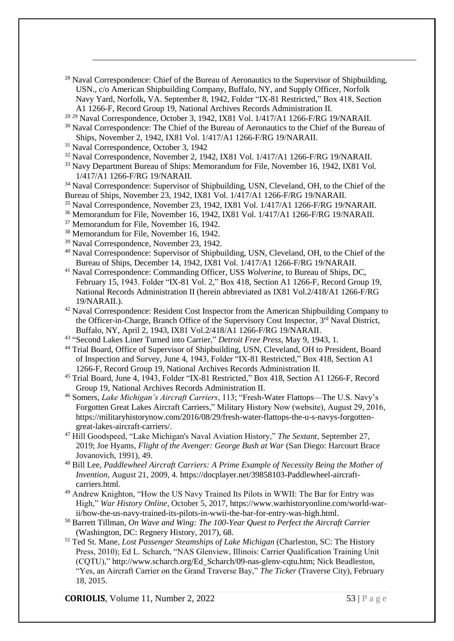- $^{28}$  Naval Correspondence: Chief of the Bureau of Aeronautics to the Supervisor of Shipbuilding, USN., c/o American Shipbuilding Company, Buffalo, NY, and Supply Officer, Norfolk Navy Yard, Norfolk, VA. September 8, 1942, Folder "IX-81 Restricted," Box 418, Section A1 1266-F, Record Group 19, National Archives Records Administration II.
- <sup>29 29</sup> Naval Correspondence, October 3, 1942, IX81 Vol. 1/417/A1 1266-F/RG 19/NARAII.
- <sup>30</sup> Naval Correspondence: The Chief of the Bureau of Aeronautics to the Chief of the Bureau of Ships, November 2, 1942, IX81 Vol. 1/417/A1 1266-F/RG 19/NARAII.
- <sup>31</sup> Naval Correspondence, October 3, 1942

-

- <sup>32</sup> Naval Correspondence, November 2, 1942, IX81 Vol. 1/417/A1 1266-F/RG 19/NARAII.
- <sup>33</sup> Navy Department Bureau of Ships: Memorandum for File, November 16, 1942, IX81 Vol. 1/417/A1 1266-F/RG 19/NARAII.

<sup>34</sup> Naval Correspondence: Supervisor of Shipbuilding, USN, Cleveland, OH, to the Chief of the Bureau of Ships, November 23, 1942, IX81 Vol. 1/417/A1 1266-F/RG 19/NARAII.

- <sup>35</sup> Naval Correspondence, November 23, 1942, IX81 Vol. 1/417/A1 1266-F/RG 19/NARAII.
- <sup>36</sup> Memorandum for File, November 16, 1942, IX81 Vol. 1/417/A1 1266-F/RG 19/NARAII.
- <sup>37</sup> Memorandum for File, November 16, 1942.
- <sup>38</sup> Memorandum for File, November 16, 1942.
- <sup>39</sup> Naval Correspondence, November 23, 1942.
- <sup>40</sup> Naval Correspondence: Supervisor of Shipbuilding, USN, Cleveland, OH, to the Chief of the Bureau of Ships, December 14, 1942, IX81 Vol. 1/417/A1 1266-F/RG 19/NARAII.
- <sup>41</sup> Naval Correspondence: Commanding Officer, USS *Wolverine*, to Bureau of Ships, DC, February 15, 1943. Folder "IX-81 Vol. 2," Box 418, Section A1 1266-F, Record Group 19, National Records Administration II (herein abbreviated as IX81 Vol.2/418/A1 1266-F/RG 19/NARAII.).
- <sup>42</sup> Naval Correspondence: Resident Cost Inspector from the American Shipbuilding Company to the Officer-in-Charge, Branch Office of the Supervisory Cost Inspector, 3<sup>rd</sup> Naval District, Buffalo, NY, April 2, 1943, IX81 Vol.2/418/A1 1266-F/RG 19/NARAII.
- 43 "Second Lakes Liner Turned into Carrier," *Detroit Free Press*, May 9, 1943, 1.
- <sup>44</sup> Trial Board, Office of Supervisor of Shipbuilding, USN, Cleveland, OH to President, Board of Inspection and Survey, June 4, 1943, Folder "IX-81 Restricted," Box 418, Section A1 1266-F, Record Group 19, National Archives Records Administration II.
- <sup>45</sup> Trial Board, June 4, 1943, Folder "IX-81 Restricted," Box 418, Section A1 1266-F, Record Group 19, National Archives Records Administration II.
- <sup>46</sup> Somers, *Lake Michigan's Aircraft Carriers*, 113; "Fresh-Water Flattops—The U.S. Navy's Forgotten Great Lakes Aircraft Carriers," Military History Now (website), August 29, 2016, https://militaryhistorynow.com/2016/08/29/fresh-water-flattops-the-u-s-navys-forgottengreat-lakes-aircraft-carriers/.
- <sup>47</sup> Hill Goodspeed, "Lake Michigan's Naval Aviation History," *The Sextant*, September 27, 2019; Joe Hyams, *Flight of the Avenger: George Bush at War* (San Diego: Harcourt Brace Jovanovich, 1991), 49.
- <sup>48</sup> Bill Lee, *Paddlewheel Aircraft Carriers: A Prime Example of Necessity Being the Mother of Invention*, August 21, 2009, 4. https://docplayer.net/39858103-Paddlewheel-aircraftcarriers.html.
- <sup>49</sup> Andrew Knighton, "How the US Navy Trained Its Pilots in WWII: The Bar for Entry was High," *War History Online*, October 5, 2017, https://www.warhistoryonline.com/world-warii/how-the-us-navy-trained-its-pilots-in-wwii-the-bar-for-entry-was-high.html.
- <sup>50</sup> Barrett Tillman, *On Wave and Wing: The 100-Year Quest to Perfect the Aircraft Carrier* (Washington, DC: Regnery History, 2017), 68.
- <sup>51</sup> Ted St. Mane, *Lost Passenger Steamships of Lake Michigan* (Charleston, SC: The History Press, 2010); Ed L. Scharch, "NAS Glenview, Illinois: Carrier Qualification Training Unit (CQTU)," http://www.scharch.org/Ed\_Scharch/09-nas-glenv-cqtu.htm; Nick Beadleston, "Yes, an Aircraft Carrier on the Grand Traverse Bay," *The Ticker* (Traverse City), February 18, 2015.

**CORIOLIS**, Volume 11, Number 2, 2022 53 | P a g e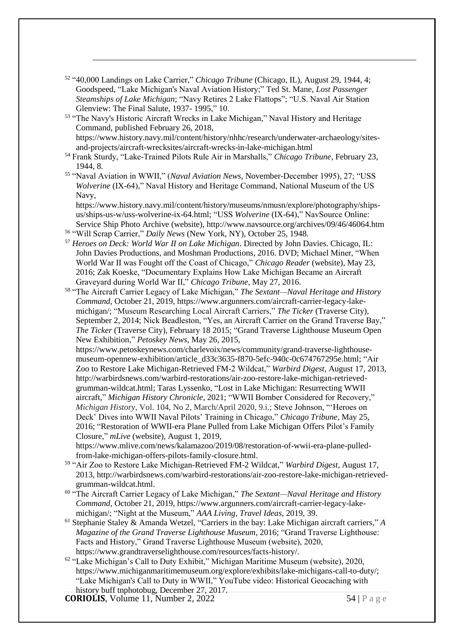<sup>52</sup> "40,000 Landings on Lake Carrier," *Chicago Tribune* (Chicago, IL), August 29, 1944, 4; Goodspeed, "Lake Michigan's Naval Aviation History;" Ted St. Mane, *Lost Passenger Steamships of Lake Michigan*; "Navy Retires 2 Lake Flattops"; "U.S. Naval Air Station Glenview: The Final Salute, 1937- 1995," 10.

-

- <sup>53</sup> "The Navy's Historic Aircraft Wrecks in Lake Michigan," Naval History and Heritage Command, published February 26, 2018, https://www.history.navy.mil/content/history/nhhc/research/underwater-archaeology/sitesand-projects/aircraft-wrecksites/aircraft-wrecks-in-lake-michigan.html
- <sup>54</sup> Frank Sturdy, "Lake-Trained Pilots Rule Air in Marshalls," *Chicago Tribune*, February 23, 1944, 8.
- <sup>55</sup> "Naval Aviation in WWII," (*Naval Aviation News*, November-December 1995), 27; "USS *Wolverine* (IX-64)," Naval History and Heritage Command, National Museum of the US Navy,

https://www.history.navy.mil/content/history/museums/nmusn/explore/photography/shipsus/ships-us-w/uss-wolverine-ix-64.html; "USS *Wolverine* (IX-64)," NavSource Online: Service Ship Photo Archive (website), http://www.navsource.org/archives/09/46/46064.htm <sup>56</sup> "Will Scrap Carrier," *Daily News* (New York, NY), October 25, 1948.

- <sup>57</sup> *Heroes on Deck: World War II on Lake Michigan*. Directed by John Davies. Chicago, IL: John Davies Productions, and Moshman Productions, 2016. DVD; Michael Miner, "When World War II was Fought off the Coast of Chicago," *Chicago Reader* (website), May 23, 2016; Zak Koeske, "Documentary Explains How Lake Michigan Became an Aircraft Graveyard during World War II," *Chicago Tribune*, May 27, 2016.
- <sup>58</sup> "The Aircraft Carrier Legacy of Lake Michigan," *The Sextant—Naval Heritage and History Command*, October 21, 2019, https://www.argunners.com/aircraft-carrier-legacy-lakemichigan/; "Museum Researching Local Aircraft Carriers," *The Ticker* (Traverse City), September 2, 2014; Nick Beadleston, "Yes, an Aircraft Carrier on the Grand Traverse Bay," *The Ticker* (Traverse City), February 18 2015; "Grand Traverse Lighthouse Museum Open New Exhibition," *Petoskey News*, May 26, 2015,

https://www.petoskeynews.com/charlevoix/news/community/grand-traverse-lighthousemuseum-opennew-exhibition/article\_d33c3635-f870-5efc-940c-0c674767295e.html; "Air Zoo to Restore Lake Michigan-Retrieved FM-2 Wildcat," *Warbird Digest*, August 17, 2013, http://warbirdsnews.com/warbird-restorations/air-zoo-restore-lake-michigan-retrievedgrumman-wildcat.html; Taras Lyssenko, "Lost in Lake Michigan: Resurrecting WWII aircraft," *Michigan History Chronicle*, 2021; "WWII Bomber Considered for Recovery," *Michigan History*, Vol. 104, No 2, March/April 2020, 9.i.; Steve Johnson, "'Heroes on Deck' Dives into WWII Naval Pilots' Training in Chicago," *Chicago Tribune*, May 25, 2016; "Restoration of WWII-era Plane Pulled from Lake Michigan Offers Pilot's Family Closure," *mLive* (website), August 1, 2019,

https://www.mlive.com/news/kalamazoo/2019/08/restoration-of-wwii-era-plane-pulledfrom-lake-michigan-offers-pilots-family-closure.html.

- <sup>59</sup> "Air Zoo to Restore Lake Michigan-Retrieved FM-2 Wildcat," *Warbird Digest*, August 17, 2013, http://warbirdsnews.com/warbird-restorations/air-zoo-restore-lake-michigan-retrievedgrumman-wildcat.html.
- <sup>60</sup> "The Aircraft Carrier Legacy of Lake Michigan," *The Sextant—Naval Heritage and History Command*, October 21, 2019, https://www.argunners.com/aircraft-carrier-legacy-lakemichigan/; "Night at the Museum," *AAA Living, Travel Ideas*, 2019, 39.
- <sup>61</sup> Stephanie Staley & Amanda Wetzel, "Carriers in the bay: Lake Michigan aircraft carriers," *A Magazine of the Grand Traverse Lighthouse Museum*, 2016; "Grand Traverse Lighthouse: Facts and History," Grand Traverse Lighthouse Museum (website), 2020, https://www.grandtraverselighthouse.com/resources/facts-history/.
- $62$  "Lake Michigan's Call to Duty Exhibit," Michigan Maritime Museum (website), 2020, https://www.michiganmaritimemuseum.org/explore/exhibits/lake-michigans-call-to-duty/; "Lake Michigan's Call to Duty in WWII," YouTube video: Historical Geocaching with history buff tnphotobug, December 27, 2017.

**CORIOLIS**, Volume 11, Number 2, 2022 54 | P a g e